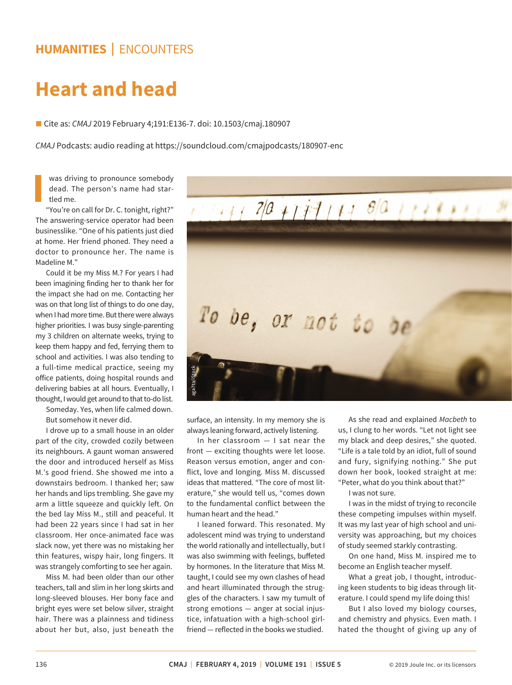## **HUMANITIES |** ENCOUNTERS

## **Heart and head**

■ Cite as: *CMAJ* 2019 February 4;191:E136-7. doi: 10.1503/cmaj.180907

*CMAJ* Podcasts: audio reading at https://soundcloud.com/cmajpodcasts/180907-enc

was driving to pronounce somebody dead. The person's name had startled me.

"You're on call for Dr. C. tonight, right?" The answering-service operator had been businesslike. "One of his patients just died at home. Her friend phoned. They need a doctor to pronounce her. The name is Madeline M."

Could it be my Miss M.? For years I had been imagining finding her to thank her for the impact she had on me. Contacting her was on that long list of things to do one day, when I had more time. But there were always higher priorities. I was busy single-parenting my 3 children on alternate weeks, trying to keep them happy and fed, ferrying them to school and activities. I was also tending to a full-time medical practice, seeing my office patients, doing hospital rounds and delivering babies at all hours. Eventually, I thought, I would get around to that to-do list.

Someday. Yes, when life calmed down. But somehow it never did.

I drove up to a small house in an older part of the city, crowded cozily between its neighbours. A gaunt woman answered the door and introduced herself as Miss M.'s good friend. She showed me into a downstairs bedroom. I thanked her; saw her hands and lips trembling. She gave my arm a little squeeze and quickly left. On the bed lay Miss M., still and peaceful. It had been 22 years since I had sat in her classroom. Her once-animated face was slack now, yet there was no mistaking her thin features, wispy hair, long fingers. It was strangely comforting to see her again.

Miss M. had been older than our other teachers, tall and slim in her long skirts and long-sleeved blouses. Her bony face and bright eyes were set below silver, straight hair. There was a plainness and tidiness about her but, also, just beneath the



surface, an intensity. In my memory she is always leaning forward, actively listening.

In her classroom — I sat near the  $front$   $-$  exciting thoughts were let loose. Reason versus emotion, anger and conflict, love and longing. Miss M. discussed ideas that mattered*.* "The core of most literature," she would tell us, "comes down to the fundamental conflict between the human heart and the head."

I leaned forward. This resonated. My adolescent mind was trying to understand the world rationally and intellectually, but I was also swimming with feelings, buffeted by hormones. In the literature that Miss M. taught, I could see my own clashes of head and heart illuminated through the struggles of the characters. I saw my tumult of strong emotions - anger at social injustice, infatuation with a high-school girlfriend — reflected in the books we studied.

As she read and explained *Macbeth* to us, I clung to her words. "Let not light see my black and deep desires," she quoted. "Life is a tale told by an idiot, full of sound and fury, signifying nothing." She put down her book, looked straight at me: "Peter, what do you think about that?"

I was not sure.

I was in the midst of trying to reconcile these competing impulses within myself. It was my last year of high school and university was approaching, but my choices of study seemed starkly contrasting.

On one hand, Miss M. inspired me to become an English teacher myself.

What a great job, I thought, introducing keen students to big ideas through literature. I could spend my life doing this!

But I also loved my biology courses, and chemistry and physics. Even math. I hated the thought of giving up any of